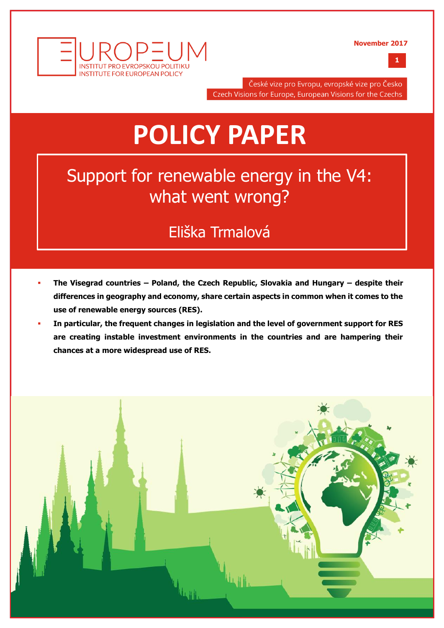

**1**



České vize pro Evropu, evropské vize pro Česko Czech Visions for Europe, European Visions for the Czechs

# **POLICY PAPER**

## Support for renewable energy in the V4: what went wrong?

## Eliška Trmalová

- **The Visegrad countries – Poland, the Czech Republic, Slovakia and Hungary – despite their differences in geography and economy, share certain aspects in common when it comes to the use of renewable energy sources (RES).**
- **In particular, the frequent changes in legislation and the level of government support for RES are creating instable investment environments in the countries and are hampering their chances at a more widespread use of RES.**

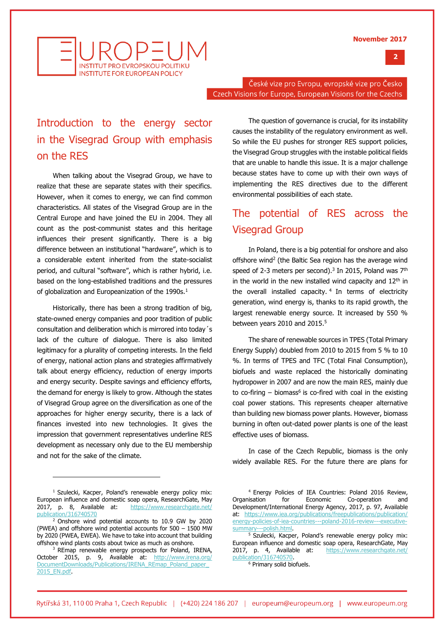

INSTITUT PRO EVROPSKOLLPOLITIK **INSTITUTE FOR EUROPEAN POLICY** 

> České vize pro Evropu, evropské vize pro Česko Czech Visions for Europe, European Visions for the Czechs

## Introduction to the energy sector in the Visegrad Group with emphasis on the RES

When talking about the Visegrad Group, we have to realize that these are separate states with their specifics. However, when it comes to energy, we can find common characteristics. All states of the Visegrad Group are in the Central Europe and have joined the EU in 2004. They all count as the post-communist states and this heritage influences their present significantly. There is a big difference between an institutional "hardware", which is to a considerable extent inherited from the state-socialist period, and cultural "software", which is rather hybrid, i.e. based on the long-established traditions and the pressures of globalization and Europeanization of the 1990s.<sup>1</sup>

Historically, there has been a strong tradition of big, state-owned energy companies and poor tradition of public consultation and deliberation which is mirrored into today´s lack of the culture of dialogue. There is also limited legitimacy for a plurality of competing interests. In the field of energy, national action plans and strategies affirmatively talk about energy efficiency, reduction of energy imports and energy security. Despite savings and efficiency efforts, the demand for energy is likely to grow. Although the states of Visegrad Group agree on the diversification as one of the approaches for higher energy security, there is a lack of finances invested into new technologies. It gives the impression that government representatives underline RES development as necessary only due to the EU membership and not for the sake of the climate.

The question of governance is crucial, for its instability causes the instability of the regulatory environment as well. So while the EU pushes for stronger RES support policies, the Visegrad Group struggles with the instable political fields that are unable to handle this issue. It is a major challenge because states have to come up with their own ways of implementing the RES directives due to the different environmental possibilities of each state.

## The potential of RES across the Visegrad Group

In Poland, there is a big potential for onshore and also offshore wind<sup>2</sup> (the Baltic Sea region has the average wind speed of 2-3 meters per second).<sup>3</sup> In 2015, Poland was  $7<sup>th</sup>$ in the world in the new installed wind capacity and  $12<sup>th</sup>$  in the overall installed capacity. <sup>4</sup> In terms of electricity generation, wind energy is, thanks to its rapid growth, the largest renewable energy source. It increased by 550 % between years 2010 and 2015.<sup>5</sup>

The share of renewable sources in TPES (Total Primary Energy Supply) doubled from 2010 to 2015 from 5 % to 10 %. In terms of TPES and TFC (Total Final Consumption), biofuels and waste replaced the historically dominating hydropower in 2007 and are now the main RES, mainly due to co-firing  $-$  biomass<sup>6</sup> is co-fired with coal in the existing coal power stations. This represents cheaper alternative than building new biomass power plants. However, biomass burning in often out-dated power plants is one of the least effective uses of biomass.

In case of the Czech Republic, biomass is the only widely available RES. For the future there are plans for

<sup>&</sup>lt;sup>1</sup> Szulecki, Kacper, Poland's renewable energy policy mix: European influence and domestic soap opera, ResearchGate, May 2017, p. 8, Available at: [https://www.researchgate.net/](https://www.researchgate.net/publication/316740570) ation/316740570

<sup>2</sup> Onshore wind potential accounts to 10.9 GW by 2020 (PWEA) and offshore wind potential accounts for 500 – 1500 MW by 2020 (PWEA, EWEA). We have to take into account that building offshore wind plants costs about twice as much as onshore.

<sup>&</sup>lt;sup>3</sup> REmap renewable energy prospects for Poland, IRENA, October 2015, p. 9, Available at: [http://www.irena.org/](http://www.irena.org/DocumentDownloads/Publications/IRENA_REmap_Poland_paper_2015_EN.pdf) [DocumentDownloads/Publications/IRENA\\_REmap\\_Poland\\_paper\\_](http://www.irena.org/DocumentDownloads/Publications/IRENA_REmap_Poland_paper_2015_EN.pdf) [2015\\_EN.pdf.](http://www.irena.org/DocumentDownloads/Publications/IRENA_REmap_Poland_paper_2015_EN.pdf)

<sup>4</sup> Energy Policies of IEA Countries: Poland 2016 Review, Organisation for Economic Co-operation and Development/International Energy Agency, 2017, p. 97, Available at: [https://www.iea.org/publications/freepublications/publication/](https://www.iea.org/publications/freepublications/publication/energy-policies-of-iea-countries---poland-2016-review---executive-summary---polish.html) [energy-policies-of-iea-countries---poland-2016-review---executive](https://www.iea.org/publications/freepublications/publication/energy-policies-of-iea-countries---poland-2016-review---executive-summary---polish.html)[summary---polish.html.](https://www.iea.org/publications/freepublications/publication/energy-policies-of-iea-countries---poland-2016-review---executive-summary---polish.html)

<sup>&</sup>lt;sup>5</sup> Szulecki, Kacper, Poland's renewable energy policy mix: European influence and domestic soap opera, ResearchGate, May 2017, p. 4, Available at: [https://www.researchgate.net/](https://www.researchgate.net/publication/316740570) [publication/316740570.](https://www.researchgate.net/publication/316740570)

<sup>&</sup>lt;sup>6</sup> Primary solid biofuels.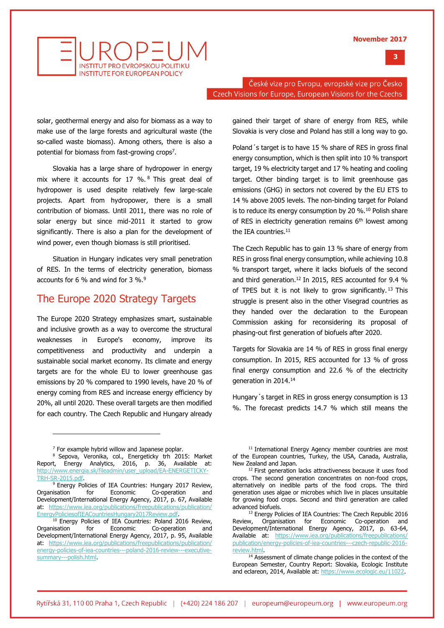### **3**



České vize pro Evropu, evropské vize pro Česko Czech Visions for Europe, European Visions for the Czechs

solar, geothermal energy and also for biomass as a way to make use of the large forests and agricultural waste (the so-called waste biomass). Among others, there is also a potential for biomass from fast-growing crops<sup>7</sup>.

Slovakia has a large share of hydropower in energy mix where it accounts for 17 %. <sup>8</sup> This great deal of hydropower is used despite relatively few large-scale projects. Apart from hydropower, there is a small contribution of biomass. Until 2011, there was no role of solar energy but since mid-2011 it started to grow significantly. There is also a plan for the development of wind power, even though biomass is still prioritised.

Situation in Hungary indicates very small penetration of RES. In the terms of electricity generation, biomass accounts for 6 % and wind for 3 %.<sup>9</sup>

## The Europe 2020 Strategy Targets

The Europe 2020 Strategy emphasizes smart, sustainable and inclusive growth as a way to overcome the structural weaknesses in Europe's economy, improve its competitiveness and productivity and underpin a sustainable social market economy. Its climate and energy targets are for the whole EU to lower greenhouse gas emissions by 20 % compared to 1990 levels, have 20 % of energy coming from RES and increase energy efficiency by 20%, all until 2020. These overall targets are then modified for each country. The Czech Republic and Hungary already

gained their target of share of energy from RES, while Slovakia is very close and Poland has still a long way to go.

Poland´s target is to have 15 % share of RES in gross final energy consumption, which is then split into 10 % transport target, 19 % electricity target and 17 % heating and cooling target. Other binding target is to limit greenhouse gas emissions (GHG) in sectors not covered by the EU ETS to 14 % above 2005 levels. The non-binding target for Poland is to reduce its energy consumption by 20 %.<sup>10</sup> Polish share of RES in electricity generation remains  $6<sup>th</sup>$  lowest among the IEA countries.<sup>11</sup>

The Czech Republic has to gain 13 % share of energy from RES in gross final energy consumption, while achieving 10.8 % transport target, where it lacks biofuels of the second and third generation.<sup>12</sup> In 2015, RES accounted for 9.4 % of TPES but it is not likely to grow significantly.<sup>13</sup> This struggle is present also in the other Visegrad countries as they handed over the declaration to the European Commission asking for reconsidering its proposal of phasing-out first generation of biofuels after 2020.

Targets for Slovakia are 14 % of RES in gross final energy consumption. In 2015, RES accounted for 13 % of gross final energy consumption and 22.6 % of the electricity generation in 2014.<sup>14</sup>

Hungary´s target in RES in gross energy consumption is 13 %. The forecast predicts 14.7 % which still means the

 $<sup>7</sup>$  For example hybrid willow and Japanese poplar.</sup>

<sup>8</sup> Sepova, Veronika, col., Energeticky trh 2015: Market Report, Energy Analytics, 2016, p. 36, Available at: [http://www.energia.sk/fileadmin/user\\_upload/EA-ENERGETICKY-](http://www.energia.sk/fileadmin/user_upload/EA-ENERGETICKY-TRH-SR-2015.pdf)[TRH-SR-2015.pdf.](http://www.energia.sk/fileadmin/user_upload/EA-ENERGETICKY-TRH-SR-2015.pdf)

<sup>&</sup>lt;sup>9</sup> Energy Policies of IEA Countries: Hungary 2017 Review, Organisation for Economic Co-operation and Development/International Energy Agency, 2017, p. 67, Available at: [https://www.iea.org/publications/freepublications/publication/](https://www.iea.org/publications/freepublications/publication/EnergyPoliciesofIEACountriesHungary2017Review.pdf) [EnergyPoliciesofIEACountriesHungary2017Review.pdf.](https://www.iea.org/publications/freepublications/publication/EnergyPoliciesofIEACountriesHungary2017Review.pdf)

<sup>&</sup>lt;sup>10</sup> Energy Policies of IEA Countries: Poland 2016 Review, Organisation for Economic Co-operation and Development/International Energy Agency, 2017, p. 95, Available at: [https://www.iea.org/publications/freepublications/publication/](https://www.iea.org/publications/freepublications/publication/energy-policies-of-iea-countries---poland-2016-review---executive-summary---polish.html) [energy-policies-of-iea-countries---poland-2016-review---executive](https://www.iea.org/publications/freepublications/publication/energy-policies-of-iea-countries---poland-2016-review---executive-summary---polish.html)[summary---polish.html.](https://www.iea.org/publications/freepublications/publication/energy-policies-of-iea-countries---poland-2016-review---executive-summary---polish.html)

<sup>&</sup>lt;sup>11</sup> International Energy Agency member countries are most of the European countries, Turkey, the USA, Canada, Australia, New Zealand and Japan.

<sup>&</sup>lt;sup>12</sup> First generation lacks attractiveness because it uses food crops. The second generation concentrates on non-food crops, alternatively on inedible parts of the food crops. The third generation uses algae or microbes which live in places unsuitable for growing food crops. Second and third generation are called advanced biofuels.

<sup>13</sup> Energy Policies of IEA Countries: The Czech Republic 2016 Review, Organisation for Economic Co-operation and Development/International Energy Agency, 2017, p. 63-64, Available at: [https://www.iea.org/publications/freepublications/](https://www.iea.org/publications/freepublications/publication/energy-policies-of-iea-countries---czech-republic-2016-review.html) [publication/energy-policies-of-iea-countries---czech-republic-2016](https://www.iea.org/publications/freepublications/publication/energy-policies-of-iea-countries---czech-republic-2016-review.html) [review.html.](https://www.iea.org/publications/freepublications/publication/energy-policies-of-iea-countries---czech-republic-2016-review.html)

<sup>&</sup>lt;sup>14</sup> Assessment of climate change policies in the context of the European Semester, Country Report: Slovakia, Ecologic Institute and eclareon, 2014, Available at[: https://www.ecologic.eu/11022.](https://www.ecologic.eu/11022)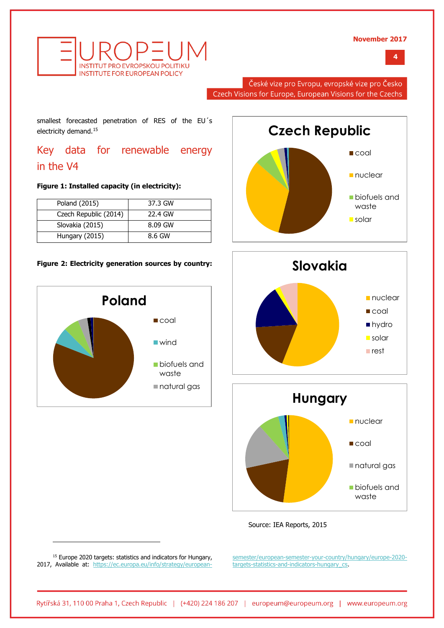**4**



České vize pro Evropu, evropské vize pro Česko Czech Visions for Europe, European Visions for the Czechs

smallest forecasted penetration of RES of the EU´s electricity demand.<sup>15</sup>

Key data for renewable energy in the V4

#### **Figure 1: Installed capacity (in electricity):**

| Poland (2015)         | 37.3 GW |
|-----------------------|---------|
| Czech Republic (2014) | 22.4 GW |
| Slovakia (2015)       | 8.09 GW |
| Hungary (2015)        | 8.6 GW  |

#### **Figure 2: Electricity generation sources by country:**









Source: IEA Reports, 2015

<sup>15</sup> Europe 2020 targets: statistics and indicators for Hungary, 2017, Available at: [https://ec.europa.eu/info/strategy/european-](https://ec.europa.eu/info/strategy/european-semester/european-semester-your-country/hungary/europe-2020-targets-statistics-and-indicators-hungary_cs)

j

[semester/european-semester-your-country/hungary/europe-2020](https://ec.europa.eu/info/strategy/european-semester/european-semester-your-country/hungary/europe-2020-targets-statistics-and-indicators-hungary_cs) [targets-statistics-and-indicators-hungary\\_cs.](https://ec.europa.eu/info/strategy/european-semester/european-semester-your-country/hungary/europe-2020-targets-statistics-and-indicators-hungary_cs)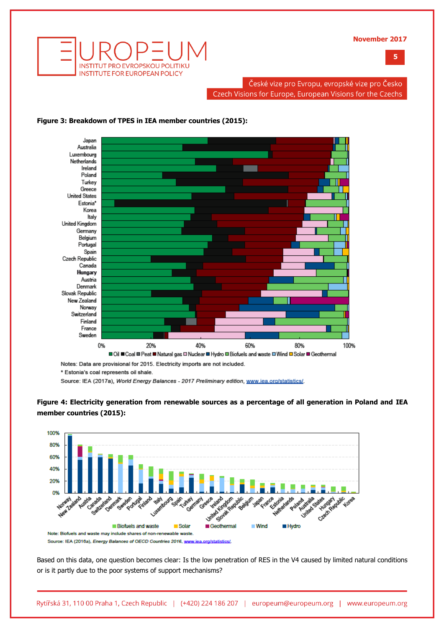**5**



České vize pro Evropu, evropské vize pro Česko Czech Visions for Europe, European Visions for the Czechs



#### **Figure 3: Breakdown of TPES in IEA member countries (2015):**

Notes: Data are provisional for 2015. Electricity imports are not included.

\* Estonia's coal represents oil shale.

Source: IEA (2017a), World Energy Balances - 2017 Preliminary edition, www.iea.org/statistics/.





Source: IEA (2016a), Energy Balances of OECD Countries 2016, www.iea.org/statistics/

Based on this data, one question becomes clear: Is the low penetration of RES in the V4 caused by limited natural conditions or is it partly due to the poor systems of support mechanisms?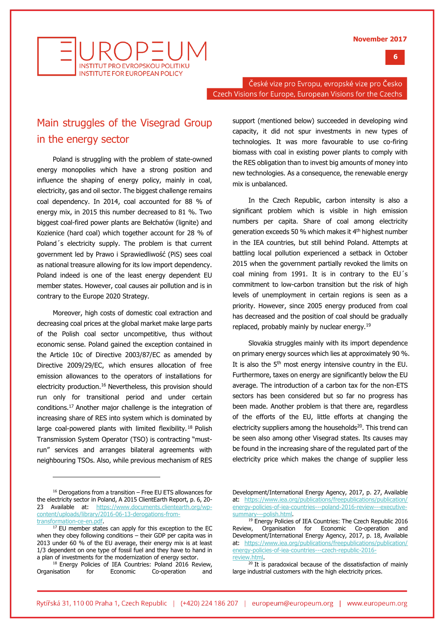



České vize pro Evropu, evropské vize pro Česko Czech Visions for Europe, European Visions for the Czechs

## Main struggles of the Visegrad Group in the energy sector

Poland is struggling with the problem of state-owned energy monopolies which have a strong position and influence the shaping of energy policy, mainly in coal, electricity, gas and oil sector. The biggest challenge remains coal dependency. In 2014, coal accounted for 88 % of energy mix, in 2015 this number decreased to 81 %. Two biggest coal-fired power plants are Bełchatów (lignite) and Kozienice (hard coal) which together account for 28 % of Poland´s electricity supply. The problem is that current government led by Prawo i Sprawiedliwość (PiS) sees coal as national treasure allowing for its low import dependency. Poland indeed is one of the least energy dependent EU member states. However, coal causes air pollution and is in contrary to the Europe 2020 Strategy.

Moreover, high costs of domestic coal extraction and decreasing coal prices at the global market make large parts of the Polish coal sector uncompetitive, thus without economic sense. Poland gained the exception contained in the Article 10c of Directive 2003/87/EC as amended by Directive 2009/29/EC, which ensures allocation of free emission allowances to the operators of installations for electricity production.<sup>16</sup> Nevertheless, this provision should run only for transitional period and under certain conditions.<sup>17</sup> Another major challenge is the integration of increasing share of RES into system which is dominated by large coal-powered plants with limited flexibility.<sup>18</sup> Polish Transmission System Operator (TSO) is contracting "mustrun" services and arranges bilateral agreements with neighbouring TSOs. Also, while previous mechanism of RES

j

support (mentioned below) succeeded in developing wind capacity, it did not spur investments in new types of technologies. It was more favourable to use co-firing biomass with coal in existing power plants to comply with the RES obligation than to invest big amounts of money into new technologies. As a consequence, the renewable energy mix is unbalanced.

In the Czech Republic, carbon intensity is also a significant problem which is visible in high emission numbers per capita. Share of coal among electricity generation exceeds 50 % which makes it 4<sup>th</sup> highest number in the IEA countries, but still behind Poland. Attempts at battling local pollution experienced a setback in October 2015 when the government partially revoked the limits on coal mining from 1991. It is in contrary to the EU´s commitment to low-carbon transition but the risk of high levels of unemployment in certain regions is seen as a priority. However, since 2005 energy produced from coal has decreased and the position of coal should be gradually replaced, probably mainly by nuclear energy.<sup>19</sup>

Slovakia struggles mainly with its import dependence on primary energy sources which lies at approximately 90 %. It is also the  $5<sup>th</sup>$  most energy intensive country in the EU. Furthermore, taxes on energy are significantly below the EU average. The introduction of a carbon tax for the non-ETS sectors has been considered but so far no progress has been made. Another problem is that there are, regardless of the efforts of the EU, little efforts at changing the electricity suppliers among the households<sup>20</sup>. This trend can be seen also among other Visegrad states. Its causes may be found in the increasing share of the regulated part of the electricity price which makes the change of supplier less

<sup>16</sup> Derogations from a transition – Free EU ETS allowances for the electricity sector in Poland, A 2015 ClientEarth Report, p. 6, 20- 23 Available at: [https://www.documents.clientearth.org/wp](https://www.documents.clientearth.org/wp-content/uploads/library/2016-06-13-derogations-from-transformation-ce-en.pdf)[content/uploads/library/2016-06-13-derogations-from](https://www.documents.clientearth.org/wp-content/uploads/library/2016-06-13-derogations-from-transformation-ce-en.pdf)[transformation-ce-en.pdf.](https://www.documents.clientearth.org/wp-content/uploads/library/2016-06-13-derogations-from-transformation-ce-en.pdf)

<sup>&</sup>lt;sup>17</sup> EU member states can apply for this exception to the EC when they obey following conditions – their GDP per capita was in 2013 under 60 % of the EU average, their energy mix is at least 1/3 dependent on one type of fossil fuel and they have to hand in a plan of investments for the modernization of energy sector.

<sup>&</sup>lt;sup>18</sup> Energy Policies of IEA Countries: Poland 2016 Review, Organisation for Economic Co-operation and

Development/International Energy Agency, 2017, p. 27, Available at: [https://www.iea.org/publications/freepublications/publication/](https://www.iea.org/publications/freepublications/publication/energy-policies-of-iea-countries---poland-2016-review---executive-summary---polish.html) [energy-policies-of-iea-countries---poland-2016-review---executive](https://www.iea.org/publications/freepublications/publication/energy-policies-of-iea-countries---poland-2016-review---executive-summary---polish.html)[summary---polish.html.](https://www.iea.org/publications/freepublications/publication/energy-policies-of-iea-countries---poland-2016-review---executive-summary---polish.html)

<sup>&</sup>lt;sup>19</sup> Energy Policies of IEA Countries: The Czech Republic 2016 Review, Organisation for Economic Co-operation and Development/International Energy Agency, 2017, p. 18, Available at: [https://www.iea.org/publications/freepublications/publication/](https://www.iea.org/publications/freepublications/publication/energy-policies-of-iea-countries---czech-republic-2016-review.html) [energy-policies-of-iea-countries---czech-republic-2016](https://www.iea.org/publications/freepublications/publication/energy-policies-of-iea-countries---czech-republic-2016-review.html) [review.html.](https://www.iea.org/publications/freepublications/publication/energy-policies-of-iea-countries---czech-republic-2016-review.html)

 $20$  It is paradoxical because of the dissatisfaction of mainly large industrial customers with the high electricity prices.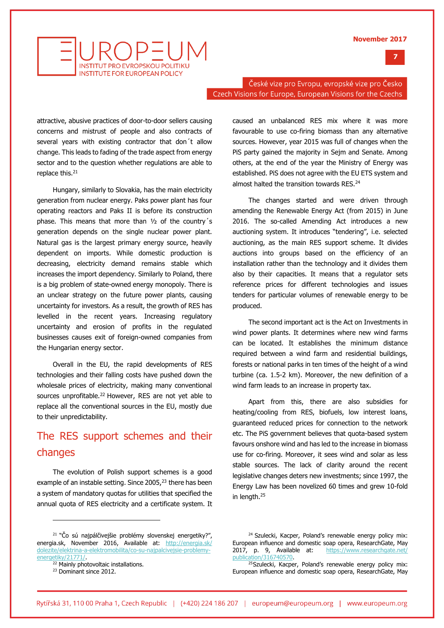



České vize pro Evropu, evropské vize pro Česko Czech Visions for Europe, European Visions for the Czechs

attractive, abusive practices of door-to-door sellers causing concerns and mistrust of people and also contracts of several years with existing contractor that don´t allow change. This leads to fading of the trade aspect from energy sector and to the question whether regulations are able to replace this. $21$ 

Hungary, similarly to Slovakia, has the main electricity generation from nuclear energy. Paks power plant has four operating reactors and Paks II is before its construction phase. This means that more than ½ of the country´s generation depends on the single nuclear power plant. Natural gas is the largest primary energy source, heavily dependent on imports. While domestic production is decreasing, electricity demand remains stable which increases the import dependency. Similarly to Poland, there is a big problem of state-owned energy monopoly. There is an unclear strategy on the future power plants, causing uncertainty for investors. As a result, the growth of RES has levelled in the recent years. Increasing regulatory uncertainty and erosion of profits in the regulated businesses causes exit of foreign-owned companies from the Hungarian energy sector.

Overall in the EU, the rapid developments of RES technologies and their falling costs have pushed down the wholesale prices of electricity, making many conventional sources unprofitable.<sup>22</sup> However, RES are not yet able to replace all the conventional sources in the EU, mostly due to their unpredictability.

## The RES support schemes and their changes

The evolution of Polish support schemes is a good example of an instable setting. Since  $2005<sup>23</sup>$  there has been a system of mandatory quotas for utilities that specified the annual quota of RES electricity and a certificate system. It

caused an unbalanced RES mix where it was more favourable to use co-firing biomass than any alternative sources. However, year 2015 was full of changes when the PiS party gained the majority in Sejm and Senate. Among others, at the end of the year the Ministry of Energy was established. PiS does not agree with the EU ETS system and almost halted the transition towards RES.<sup>24</sup>

The changes started and were driven through amending the Renewable Energy Act (from 2015) in June 2016. The so-called Amending Act introduces a new auctioning system. It introduces "tendering", i.e. selected auctioning, as the main RES support scheme. It divides auctions into groups based on the efficiency of an installation rather than the technology and it divides them also by their capacities. It means that a regulator sets reference prices for different technologies and issues tenders for particular volumes of renewable energy to be produced.

The second important act is the Act on Investments in wind power plants. It determines where new wind farms can be located. It establishes the minimum distance required between a wind farm and residential buildings, forests or national parks in ten times of the height of a wind turbine (ca. 1.5-2 km). Moreover, the new definition of a wind farm leads to an increase in property tax.

Apart from this, there are also subsidies for heating/cooling from RES, biofuels, low interest loans, guaranteed reduced prices for connection to the network etc. The PiS government believes that quota-based system favours onshore wind and has led to the increase in biomass use for co-firing. Moreover, it sees wind and solar as less stable sources. The lack of clarity around the recent legislative changes deters new investments; since 1997, the Energy Law has been novelized 60 times and grew 10-fold in length.<sup>25</sup>

 $21$  "Čo sú najpálčivejšie problémy slovenskej energetiky?", energia.sk, November 2016, Available at: [http://energia.sk/](http://energia.sk/dolezite/elektrina-a-elektromobilita/co-su-najpalcivejsie-problemy-energetiky/21771/) [dolezite/elektrina-a-elektromobilita/co-su-najpalcivejsie-problemy](http://energia.sk/dolezite/elektrina-a-elektromobilita/co-su-najpalcivejsie-problemy-energetiky/21771/)[energetiky/21771/.](http://energia.sk/dolezite/elektrina-a-elektromobilita/co-su-najpalcivejsie-problemy-energetiky/21771/)

<sup>&</sup>lt;sup>22</sup> Mainly photovoltaic installations.

<sup>&</sup>lt;sup>23</sup> Dominant since 2012.

<sup>&</sup>lt;sup>24</sup> Szulecki, Kacper, Poland's renewable energy policy mix: European influence and domestic soap opera, ResearchGate, May 2017, p. 9, Available at: [https://www.researchgate.net/](https://www.researchgate.net/publication/316740570) [publication/316740570.](https://www.researchgate.net/publication/316740570) 

<sup>&</sup>lt;sup>25</sup>Szulecki, Kacper, Poland's renewable energy policy mix: European influence and domestic soap opera, ResearchGate, May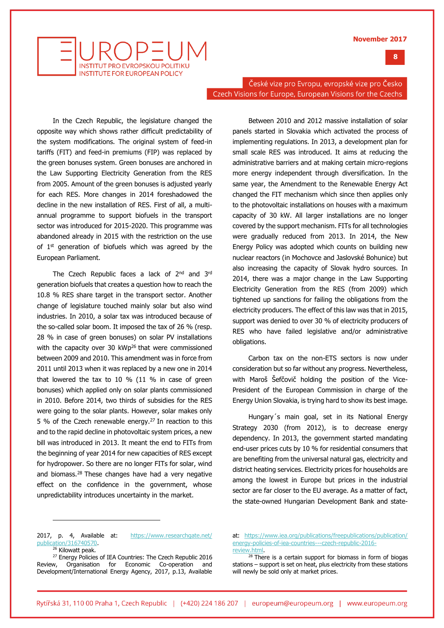



České vize pro Evropu, evropské vize pro Česko Czech Visions for Europe, European Visions for the Czechs

In the Czech Republic, the legislature changed the opposite way which shows rather difficult predictability of the system modifications. The original system of feed-in tariffs (FIT) and feed-in premiums (FIP) was replaced by the green bonuses system. Green bonuses are anchored in the Law Supporting Electricity Generation from the RES from 2005. Amount of the green bonuses is adjusted yearly for each RES. More changes in 2014 foreshadowed the decline in the new installation of RES. First of all, a multiannual programme to support biofuels in the transport sector was introduced for 2015-2020. This programme was abandoned already in 2015 with the restriction on the use of  $1<sup>st</sup>$  generation of biofuels which was agreed by the European Parliament.

The Czech Republic faces a lack of 2<sup>nd</sup> and 3<sup>rd</sup> generation biofuels that creates a question how to reach the 10.8 % RES share target in the transport sector. Another change of legislature touched mainly solar but also wind industries. In 2010, a solar tax was introduced because of the so-called solar boom. It imposed the tax of 26 % (resp. 28 % in case of green bonuses) on solar PV installations with the capacity over 30 kWp<sup>26</sup> that were commissioned between 2009 and 2010. This amendment was in force from 2011 until 2013 when it was replaced by a new one in 2014 that lowered the tax to 10 % (11 % in case of green bonuses) which applied only on solar plants commissioned in 2010. Before 2014, two thirds of subsidies for the RES were going to the solar plants. However, solar makes only 5 % of the Czech renewable energy.<sup>27</sup> In reaction to this and to the rapid decline in photovoltaic system prices, a new bill was introduced in 2013. It meant the end to FITs from the beginning of year 2014 for new capacities of RES except for hydropower. So there are no longer FITs for solar, wind and biomass.<sup>28</sup> These changes have had a very negative effect on the confidence in the government, whose unpredictability introduces uncertainty in the market.

Between 2010 and 2012 massive installation of solar panels started in Slovakia which activated the process of implementing regulations. In 2013, a development plan for small scale RES was introduced. It aims at reducing the administrative barriers and at making certain micro-regions more energy independent through diversification. In the same year, the Amendment to the Renewable Energy Act changed the FIT mechanism which since then applies only to the photovoltaic installations on houses with a maximum capacity of 30 kW. All larger installations are no longer covered by the support mechanism. FITs for all technologies were gradually reduced from 2013. In 2014, the New Energy Policy was adopted which counts on building new nuclear reactors (in Mochovce and Jaslovské Bohunice) but also increasing the capacity of Slovak hydro sources. In 2014, there was a major change in the Law Supporting Electricity Generation from the RES (from 2009) which tightened up sanctions for failing the obligations from the electricity producers. The effect of this law was that in 2015, support was denied to over 30 % of electricity producers of RES who have failed legislative and/or administrative obligations.

Carbon tax on the non-ETS sectors is now under consideration but so far without any progress. Nevertheless, with Maroš Šefčovič holding the position of the Vice-President of the European Commission in charge of the Energy Union Slovakia, is trying hard to show its best image.

Hungary´s main goal, set in its National Energy Strategy 2030 (from 2012), is to decrease energy dependency. In 2013, the government started mandating end-user prices cuts by 10 % for residential consumers that are benefiting from the universal natural gas, electricity and district heating services. Electricity prices for households are among the lowest in Europe but prices in the industrial sector are far closer to the EU average. As a matter of fact, the state-owned Hungarian Development Bank and state-

2017, p. 4, Available at: [https://www.researchgate.net/](https://www.researchgate.net/publication/316740570) [publication/316740570.](https://www.researchgate.net/publication/316740570)

<sup>&</sup>lt;sup>26</sup> Kilowatt peak.

<sup>&</sup>lt;sup>27</sup> Energy Policies of IEA Countries: The Czech Republic 2016 Review, Organisation for Economic Co-operation and Development/International Energy Agency, 2017, p.13, Available

at: [https://www.iea.org/publications/freepublications/publication/](https://www.iea.org/publications/freepublications/publication/energy-policies-of-iea-countries---czech-republic-2016-review.html) [energy-policies-of-iea-countries---czech-republic-2016](https://www.iea.org/publications/freepublications/publication/energy-policies-of-iea-countries---czech-republic-2016-review.html) [review.html.](https://www.iea.org/publications/freepublications/publication/energy-policies-of-iea-countries---czech-republic-2016-review.html)

<sup>&</sup>lt;sup>28</sup> There is a certain support for biomass in form of biogas stations – support is set on heat, plus electricity from these stations will newly be sold only at market prices.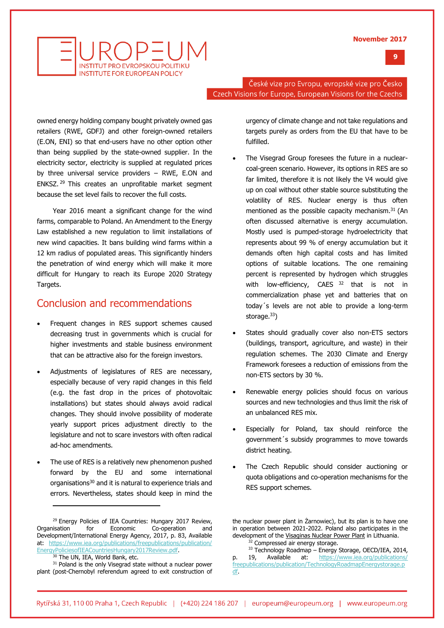



České vize pro Evropu, evropské vize pro Česko Czech Visions for Europe, European Visions for the Czechs

owned energy holding company bought privately owned gas retailers (RWE, GDFJ) and other foreign-owned retailers (E.ON, ENI) so that end-users have no other option other than being supplied by the state-owned supplier. In the electricity sector, electricity is supplied at regulated prices by three universal service providers – RWE, E.ON and ENKSZ. <sup>29</sup> This creates an unprofitable market segment because the set level fails to recover the full costs.

Year 2016 meant a significant change for the wind farms, comparable to Poland. An Amendment to the Energy Law established a new regulation to limit installations of new wind capacities. It bans building wind farms within a 12 km radius of populated areas. This significantly hinders the penetration of wind energy which will make it more difficult for Hungary to reach its Europe 2020 Strategy Targets.

### Conclusion and recommendations

- Frequent changes in RES support schemes caused decreasing trust in governments which is crucial for higher investments and stable business environment that can be attractive also for the foreign investors.
- Adjustments of legislatures of RES are necessary, especially because of very rapid changes in this field (e.g. the fast drop in the prices of photovoltaic installations) but states should always avoid radical changes. They should involve possibility of moderate yearly support prices adjustment directly to the legislature and not to scare investors with often radical ad-hoc amendments.
- The use of RES is a relatively new phenomenon pushed forward by the EU and some international organisations<sup>30</sup> and it is natural to experience trials and errors. Nevertheless, states should keep in mind the

<sup>29</sup> Energy Policies of IEA Countries: Hungary 2017 Review, Organisation for Economic Co-operation and Development/International Energy Agency, 2017, p. 83, Available at: [https://www.iea.org/publications/freepublications/publication/](https://www.iea.org/publications/freepublications/publication/EnergyPoliciesofIEACountriesHungary2017Review.pdf) [EnergyPoliciesofIEACountriesHungary2017Review.pdf.](https://www.iea.org/publications/freepublications/publication/EnergyPoliciesofIEACountriesHungary2017Review.pdf)

j

urgency of climate change and not take regulations and targets purely as orders from the EU that have to be fulfilled.

- The Visegrad Group foresees the future in a nuclearcoal-green scenario. However, its options in RES are so far limited, therefore it is not likely the V4 would give up on coal without other stable source substituting the volatility of RES. Nuclear energy is thus often mentioned as the possible capacity mechanism.<sup>31</sup> (An often discussed alternative is energy accumulation. Mostly used is pumped-storage hydroelectricity that represents about 99 % of energy accumulation but it demands often high capital costs and has limited options of suitable locations. The one remaining percent is represented by hydrogen which struggles with low-efficiency, CAES  $32$  that is not in commercialization phase yet and batteries that on today´s levels are not able to provide a long-term storage.<sup>33</sup>)
- States should gradually cover also non-ETS sectors (buildings, transport, agriculture, and waste) in their regulation schemes. The 2030 Climate and Energy Framework foresees a reduction of emissions from the non-ETS sectors by 30 %.
- Renewable energy policies should focus on various sources and new technologies and thus limit the risk of an unbalanced RES mix.
- Especially for Poland, tax should reinforce the government´s subsidy programmes to move towards district heating.
- The Czech Republic should consider auctioning or quota obligations and co-operation mechanisms for the RES support schemes.

The UN, IEA, World Bank, etc.

<sup>&</sup>lt;sup>31</sup> Poland is the only Visegrad state without a nuclear power plant (post-Chernobyl referendum agreed to exit construction of

the nuclear power plant in Żarnowiec), but its plan is to have one in operation between 2021-2022. Poland also participates in the development of the [Visaginas Nuclear Power Plant](https://en.wikipedia.org/wiki/Visaginas_Nuclear_Power_Plant) in Lithuania. <sup>32</sup> Compressed air energy storage.

<sup>&</sup>lt;sup>33</sup> Technology Roadmap – Energy Storage, OECD/IEA, 2014, p. 19, Available at: [https://www.iea.org/publications/](https://www.iea.org/publications/freepublications/publication/TechnologyRoadmapEnergystorage.pdf) [freepublications/publication/TechnologyRoadmapEnergystorage.p](https://www.iea.org/publications/freepublications/publication/TechnologyRoadmapEnergystorage.pdf) [df.](https://www.iea.org/publications/freepublications/publication/TechnologyRoadmapEnergystorage.pdf)